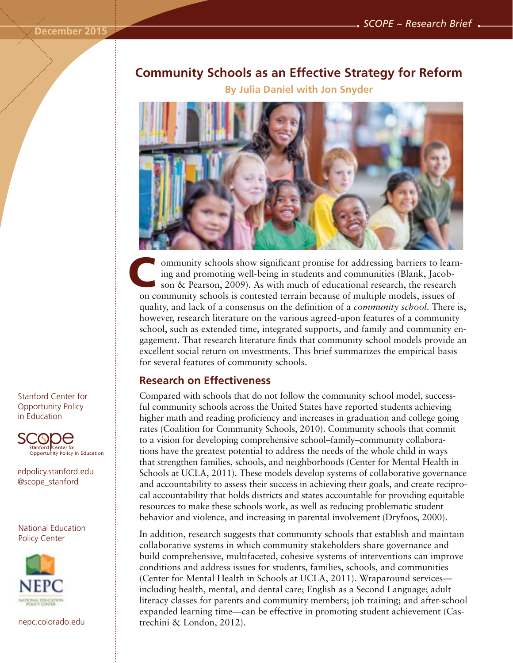# **Community Schools as an Effective Strategy for Reform**

**By Julia Daniel with Jon Snyder**



ommunity schools show significant promise for addressing barriers to learning and promoting well-being in students and communities (Blank, Jacobson & Pearson, 2009). As with much of educational research, the research on community schools is contested terrain because of multiple models, issues of quality, and lack of a consensus on the definition of a *community school*. There is, however, research literature on the various agreed-upon features of a community school, such as extended time, integrated supports, and family and community engagement. That research literature finds that community school models provide an excellent social return on investments. This brief summarizes the empirical basis for several features of community schools. C

#### **Research on Effectiveness**

Compared with schools that do not follow the community school model, successful community schools across the United States have reported students achieving higher math and reading proficiency and increases in graduation and college going rates (Coalition for Community Schools, 2010). Community schools that commit to a vision for developing comprehensive school–family–community collaborations have the greatest potential to address the needs of the whole child in ways that strengthen families, schools, and neighborhoods (Center for Mental Health in Schools at UCLA, 2011). These models develop systems of collaborative governance and accountability to assess their success in achieving their goals, and create reciprocal accountability that holds districts and states accountable for providing equitable resources to make these schools work, as well as reducing problematic student behavior and violence, and increasing in parental involvement (Dryfoos, 2000).

In addition, research suggests that community schools that establish and maintain collaborative systems in which community stakeholders share governance and build comprehensive, multifaceted, cohesive systems of interventions can improve conditions and address issues for students, families, schools, and communities (Center for Mental Health in Schools at UCLA, 2011). Wraparound services including health, mental, and dental care; English as a Second Language; adult literacy classes for parents and community members; job training; and after-school expanded learning time—can be effective in promoting student achievement (Castrechini & London, 2012).

Stanford Center for Opportunity Policy in Education



edpolicy.stanford.edu @scope\_stanford

National Education Policy Center



nepc.colorado.edu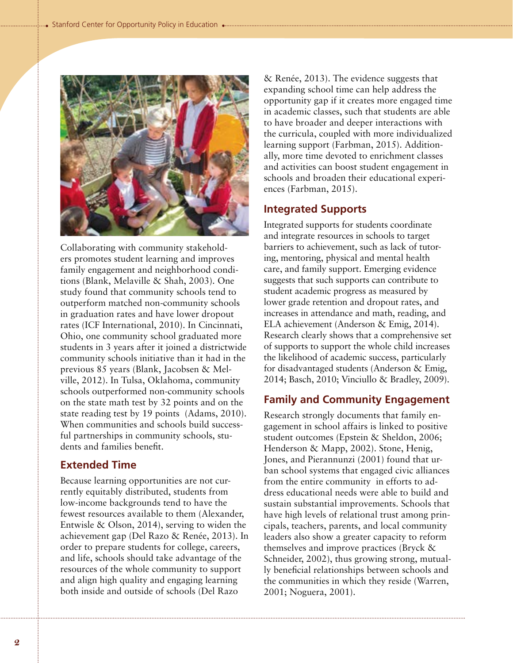

Collaborating with community stakeholders promotes student learning and improves family engagement and neighborhood conditions (Blank, Melaville & Shah, 2003). One study found that community schools tend to outperform matched non-community schools in graduation rates and have lower dropout rates (ICF International, 2010). In Cincinnati, Ohio, one community school graduated more students in 3 years after it joined a districtwide community schools initiative than it had in the previous 85 years (Blank, Jacobsen & Melville, 2012). In Tulsa, Oklahoma, community schools outperformed non-community schools on the state math test by 32 points and on the state reading test by 19 points (Adams, 2010). When communities and schools build successful partnerships in community schools, students and families benefit.

## **Extended Time**

Because learning opportunities are not currently equitably distributed, students from low-income backgrounds tend to have the fewest resources available to them (Alexander, Entwisle & Olson, 2014), serving to widen the achievement gap (Del Razo & Renée, 2013). In order to prepare students for college, careers, and life, schools should take advantage of the resources of the whole community to support and align high quality and engaging learning both inside and outside of schools (Del Razo

& Renée, 2013). The evidence suggests that expanding school time can help address the opportunity gap if it creates more engaged time in academic classes, such that students are able to have broader and deeper interactions with the curricula, coupled with more individualized learning support (Farbman, 2015). Additionally, more time devoted to enrichment classes and activities can boost student engagement in schools and broaden their educational experiences (Farbman, 2015).

#### **Integrated Supports**

Integrated supports for students coordinate and integrate resources in schools to target barriers to achievement, such as lack of tutoring, mentoring, physical and mental health care, and family support. Emerging evidence suggests that such supports can contribute to student academic progress as measured by lower grade retention and dropout rates, and increases in attendance and math, reading, and ELA achievement (Anderson & Emig, 2014). Research clearly shows that a comprehensive set of supports to support the whole child increases the likelihood of academic success, particularly for disadvantaged students (Anderson & Emig, 2014; Basch, 2010; Vinciullo & Bradley, 2009).

#### **Family and Community Engagement**

Research strongly documents that family engagement in school affairs is linked to positive student outcomes (Epstein & Sheldon, 2006; Henderson & Mapp, 2002). Stone, Henig, Jones, and Pierannunzi (2001) found that urban school systems that engaged civic alliances from the entire community in efforts to address educational needs were able to build and sustain substantial improvements. Schools that have high levels of relational trust among principals, teachers, parents, and local community leaders also show a greater capacity to reform themselves and improve practices (Bryck & Schneider, 2002), thus growing strong, mutually beneficial relationships between schools and the communities in which they reside (Warren, 2001; Noguera, 2001).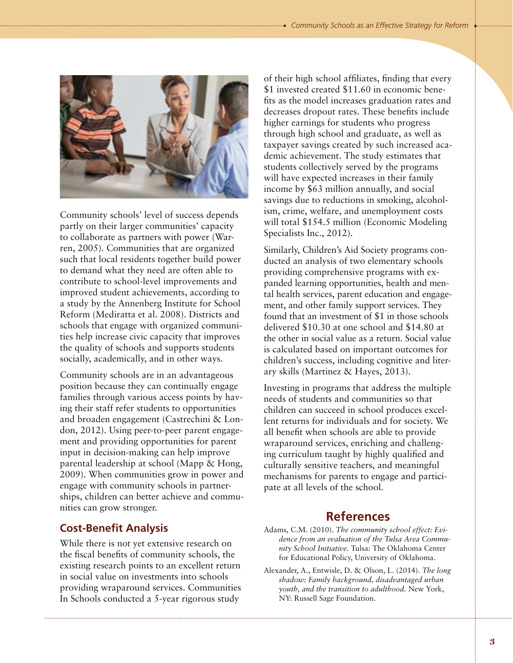

Community schools' level of success depends partly on their larger communities' capacity to collaborate as partners with power (Warren, 2005). Communities that are organized such that local residents together build power to demand what they need are often able to contribute to school-level improvements and improved student achievements, according to a study by the Annenberg Institute for School Reform (Mediratta et al. 2008). Districts and schools that engage with organized communities help increase civic capacity that improves the quality of schools and supports students socially, academically, and in other ways.

Community schools are in an advantageous position because they can continually engage families through various access points by having their staff refer students to opportunities and broaden engagement (Castrechini & London, 2012). Using peer-to-peer parent engagement and providing opportunities for parent input in decision-making can help improve parental leadership at school (Mapp & Hong, 2009). When communities grow in power and engage with community schools in partnerships, children can better achieve and communities can grow stronger.

### **Cost-Benefit Analysis**

While there is not yet extensive research on the fiscal benefits of community schools, the existing research points to an excellent return in social value on investments into schools providing wraparound services. Communities In Schools conducted a 5-year rigorous study

of their high school affiliates, finding that every \$1 invested created \$11.60 in economic benefits as the model increases graduation rates and decreases dropout rates. These benefits include higher earnings for students who progress through high school and graduate, as well as taxpayer savings created by such increased academic achievement. The study estimates that students collectively served by the programs will have expected increases in their family income by \$63 million annually, and social savings due to reductions in smoking, alcoholism, crime, welfare, and unemployment costs will total \$154.5 million (Economic Modeling) Specialists Inc., 2012).

Similarly, Children's Aid Society programs conducted an analysis of two elementary schools providing comprehensive programs with expanded learning opportunities, health and mental health services, parent education and engagement, and other family support services. They found that an investment of \$1 in those schools delivered \$10.30 at one school and \$14.80 at the other in social value as a return. Social value is calculated based on important outcomes for children's success, including cognitive and literary skills (Martinez & Hayes, 2013).

Investing in programs that address the multiple needs of students and communities so that children can succeed in school produces excellent returns for individuals and for society. We all benefit when schools are able to provide wraparound services, enriching and challenging curriculum taught by highly qualified and culturally sensitive teachers, and meaningful mechanisms for parents to engage and participate at all levels of the school.

# **References**

- Adams, C.M. (2010). *The community school effect: Evidence from an evaluation of the Tulsa Area Community School Initiative.* Tulsa: The Oklahoma Center for Educational Policy, University of Oklahoma.
- Alexander, A., Entwisle, D. & Olson, L. (2014). *The long shadow: Family background, disadvantaged urban youth, and the transition to adulthood.* New York, NY: Russell Sage Foundation.